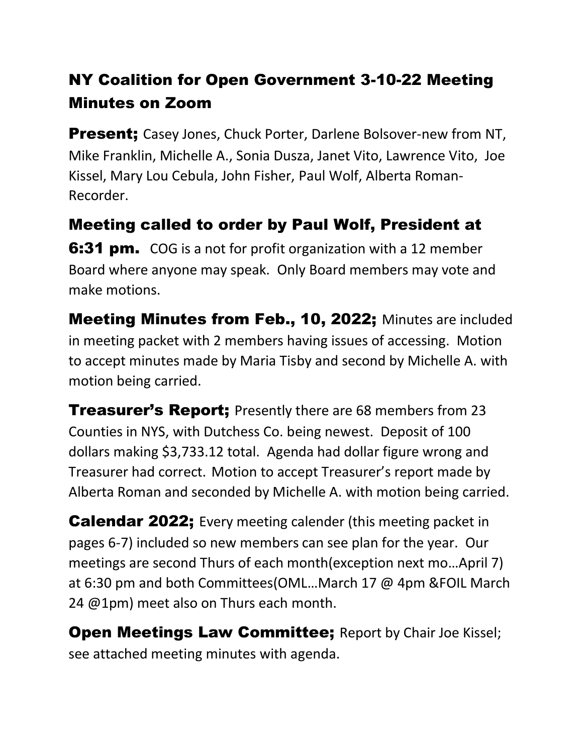## NY Coalition for Open Government 3-10-22 Meeting Minutes on Zoom

**Present;** Casey Jones, Chuck Porter, Darlene Bolsover-new from NT, Mike Franklin, Michelle A., Sonia Dusza, Janet Vito, Lawrence Vito, Joe Kissel, Mary Lou Cebula, John Fisher, Paul Wolf, Alberta Roman-Recorder.

Meeting called to order by Paul Wolf, President at **6:31 pm.** COG is a not for profit organization with a 12 member Board where anyone may speak. Only Board members may vote and make motions.

Meeting Minutes from Feb., 10, 2022; Minutes are included in meeting packet with 2 members having issues of accessing. Motion to accept minutes made by Maria Tisby and second by Michelle A. with motion being carried.

**Treasurer's Report;** Presently there are 68 members from 23 Counties in NYS, with Dutchess Co. being newest. Deposit of 100 dollars making \$3,733.12 total. Agenda had dollar figure wrong and Treasurer had correct. Motion to accept Treasurer's report made by Alberta Roman and seconded by Michelle A. with motion being carried.

Calendar 2022; Every meeting calender (this meeting packet in pages 6-7) included so new members can see plan for the year. Our meetings are second Thurs of each month(exception next mo…April 7) at 6:30 pm and both Committees(OML…March 17 @ 4pm &FOIL March 24 @1pm) meet also on Thurs each month.

**Open Meetings Law Committee;** Report by Chair Joe Kissel; see attached meeting minutes with agenda.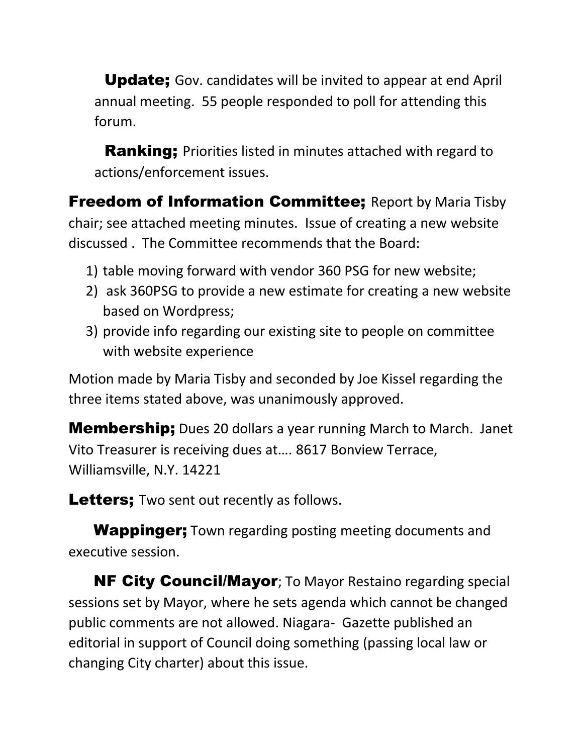Update; Gov. candidates will be invited to appear at end April annual meeting. 55 people responded to poll for attending this forum.

**Ranking**; Priorities listed in minutes attached with regard to actions/enforcement issues.

**Freedom of Information Committee;** Report by Maria Tisby chair; see attached meeting minutes. Issue of creating a new website discussed . The Committee recommends that the Board:

- 1) table moving forward with vendor 360 PSG for new website;
- 2) ask 360PSG to provide a new estimate for creating a new website based on Wordpress;
- 3) provide info regarding our existing site to people on committee with website experience

Motion made by Maria Tisby and seconded by Joe Kissel regarding the three items stated above, was unanimously approved.

**Membership;** Dues 20 dollars a year running March to March. Janet Vito Treasurer is receiving dues at…. 8617 Bonview Terrace, Williamsville, N.Y. 14221

Letters; Two sent out recently as follows.

**Wappinger;** Town regarding posting meeting documents and executive session.

**NF City Council/Mayor**; To Mayor Restaino regarding special sessions set by Mayor, where he sets agenda which cannot be changed public comments are not allowed. Niagara- Gazette published an editorial in support of Council doing something (passing local law or changing City charter) about this issue.